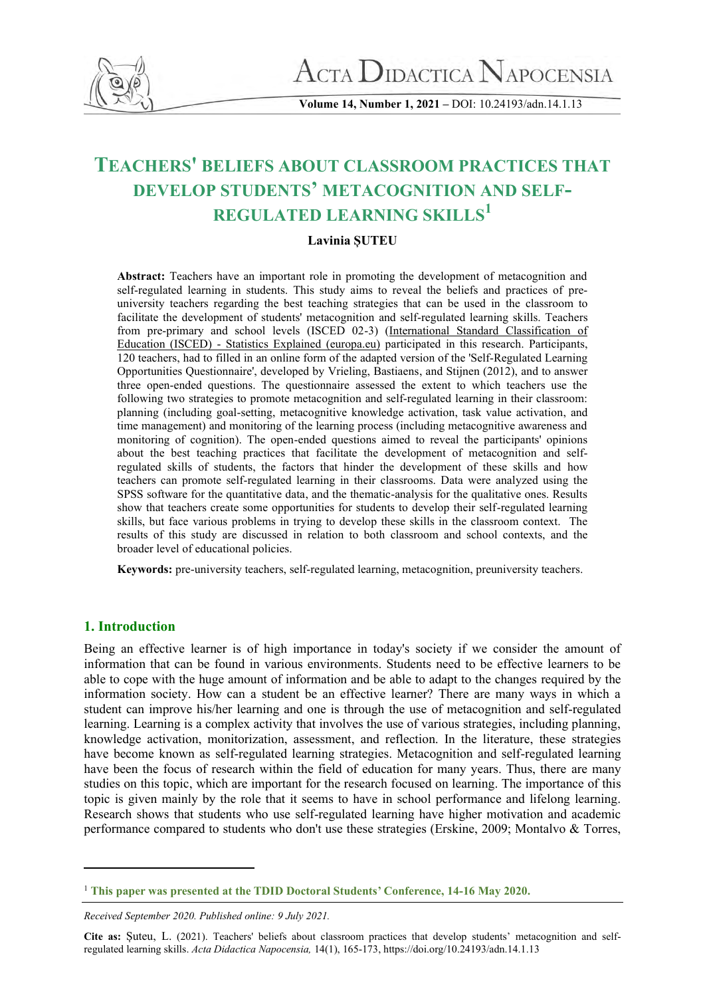

 $\rm A$ CTA  $\rm D$ idactica  $\rm N$ apocensia

**Volume 14, Number 1, 2021 –** DOI: 10.24193/adn.14.1.13

# **TEACHERS' BELIEFS ABOUT CLASSROOM PRACTICES THAT DEVELOP STUDENTS' METACOGNITION AND SELF-REGULATED LEARNING SKILLS<sup>1</sup>**

# **Lavinia ȘUTEU**

**Abstract:** Teachers have an important role in promoting the development of metacognition and self-regulated learning in students. This study aims to reveal the beliefs and practices of preuniversity teachers regarding the best teaching strategies that can be used in the classroom to facilitate the development of students' metacognition and self-regulated learning skills. Teachers from pre-primary and school levels (ISCED 02-3) [\(International Standard Classification of](https://ec.europa.eu/eurostat/statistics-explained/index.php/International_Standard_Classification_of_Education_(ISCED))  Education (ISCED) - [Statistics Explained \(europa.eu\)](https://ec.europa.eu/eurostat/statistics-explained/index.php/International_Standard_Classification_of_Education_(ISCED)) participated in this research. Participants, 120 teachers, had to filled in an online form of the adapted version of the 'Self-Regulated Learning Opportunities Questionnaire', developed by Vrieling, Bastiaens, and Stijnen (2012), and to answer three open-ended questions. The questionnaire assessed the extent to which teachers use the following two strategies to promote metacognition and self-regulated learning in their classroom: planning (including goal-setting, metacognitive knowledge activation, task value activation, and time management) and monitoring of the learning process (including metacognitive awareness and monitoring of cognition). The open-ended questions aimed to reveal the participants' opinions about the best teaching practices that facilitate the development of metacognition and selfregulated skills of students, the factors that hinder the development of these skills and how teachers can promote self-regulated learning in their classrooms. Data were analyzed using the SPSS software for the quantitative data, and the thematic-analysis for the qualitative ones. Results show that teachers create some opportunities for students to develop their self-regulated learning skills, but face various problems in trying to develop these skills in the classroom context. The results of this study are discussed in relation to both classroom and school contexts, and the broader level of educational policies.

**Keywords:** pre-university teachers, self-regulated learning, metacognition, preuniversity teachers.

# **1. Introduction**

Being an effective learner is of high importance in today's society if we consider the amount of information that can be found in various environments. Students need to be effective learners to be able to cope with the huge amount of information and be able to adapt to the changes required by the information society. How can a student be an effective learner? There are many ways in which a student can improve his/her learning and one is through the use of metacognition and self-regulated learning. Learning is a complex activity that involves the use of various strategies, including planning, knowledge activation, monitorization, assessment, and reflection. In the literature, these strategies have become known as self-regulated learning strategies. Metacognition and self-regulated learning have been the focus of research within the field of education for many years. Thus, there are many studies on this topic, which are important for the research focused on learning. The importance of this topic is given mainly by the role that it seems to have in school performance and lifelong learning. Research shows that students who use self-regulated learning have higher motivation and academic performance compared to students who don't use these strategies (Erskine, 2009; Montalvo & Torres,

<sup>1</sup> **This paper was presented at the TDID Doctoral Students' Conference, 14-16 May 2020.**

*Received September 2020. Published online: 9 July 2021.*

**Cite as:** Șuteu, L. (2021). Teachers' beliefs about classroom practices that develop students' metacognition and selfregulated learning skills. *Acta Didactica Napocensia,* 14(1), 165-173, https://doi.org/10.24193/adn.14.1.13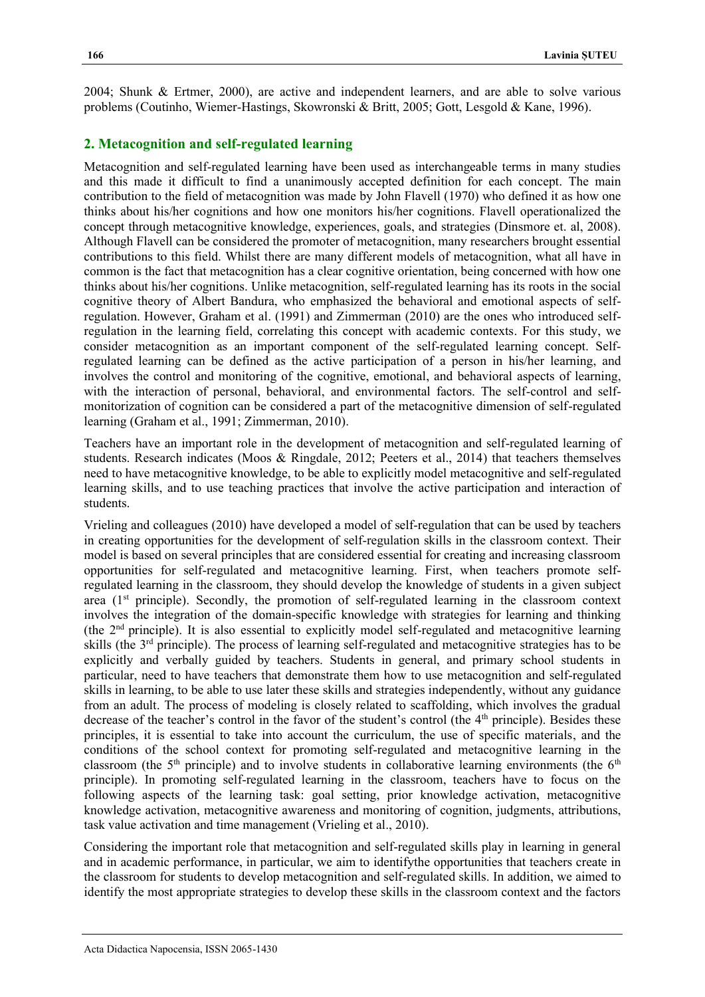2004; Shunk & Ertmer, 2000), are active and independent learners, and are able to solve various problems (Coutinho, Wiemer-Hastings, Skowronski & Britt, 2005; Gott, Lesgold & Kane, 1996).

#### **2. Metacognition and self-regulated learning**

Metacognition and self-regulated learning have been used as interchangeable terms in many studies and this made it difficult to find a unanimously accepted definition for each concept. The main contribution to the field of metacognition was made by John Flavell (1970) who defined it as how one thinks about his/her cognitions and how one monitors his/her cognitions. Flavell operationalized the concept through metacognitive knowledge, experiences, goals, and strategies (Dinsmore et. al, 2008). Although Flavell can be considered the promoter of metacognition, many researchers brought essential contributions to this field. Whilst there are many different models of metacognition, what all have in common is the fact that metacognition has a clear cognitive orientation, being concerned with how one thinks about his/her cognitions. Unlike metacognition, self-regulated learning has its roots in the social cognitive theory of Albert Bandura, who emphasized the behavioral and emotional aspects of selfregulation. However, Graham et al. (1991) and Zimmerman (2010) are the ones who introduced selfregulation in the learning field, correlating this concept with academic contexts. For this study, we consider metacognition as an important component of the self-regulated learning concept. Selfregulated learning can be defined as the active participation of a person in his/her learning, and involves the control and monitoring of the cognitive, emotional, and behavioral aspects of learning, with the interaction of personal, behavioral, and environmental factors. The self-control and selfmonitorization of cognition can be considered a part of the metacognitive dimension of self-regulated learning (Graham et al., 1991; Zimmerman, 2010).

Teachers have an important role in the development of metacognition and self-regulated learning of students. Research indicates (Moos & Ringdale, 2012; Peeters et al., 2014) that teachers themselves need to have metacognitive knowledge, to be able to explicitly model metacognitive and self-regulated learning skills, and to use teaching practices that involve the active participation and interaction of students.

Vrieling and colleagues (2010) have developed a model of self-regulation that can be used by teachers in creating opportunities for the development of self-regulation skills in the classroom context. Their model is based on several principles that are considered essential for creating and increasing classroom opportunities for self-regulated and metacognitive learning. First, when teachers promote selfregulated learning in the classroom, they should develop the knowledge of students in a given subject area  $(1<sup>st</sup>$  principle). Secondly, the promotion of self-regulated learning in the classroom context involves the integration of the domain-specific knowledge with strategies for learning and thinking (the 2nd principle). It is also essential to explicitly model self-regulated and metacognitive learning skills (the 3rd principle). The process of learning self-regulated and metacognitive strategies has to be explicitly and verbally guided by teachers. Students in general, and primary school students in particular, need to have teachers that demonstrate them how to use metacognition and self-regulated skills in learning, to be able to use later these skills and strategies independently, without any guidance from an adult. The process of modeling is closely related to scaffolding, which involves the gradual decrease of the teacher's control in the favor of the student's control (the 4<sup>th</sup> principle). Besides these principles, it is essential to take into account the curriculum, the use of specific materials, and the conditions of the school context for promoting self-regulated and metacognitive learning in the classroom (the  $5<sup>th</sup>$  principle) and to involve students in collaborative learning environments (the  $6<sup>th</sup>$ principle). In promoting self-regulated learning in the classroom, teachers have to focus on the following aspects of the learning task: goal setting, prior knowledge activation, metacognitive knowledge activation, metacognitive awareness and monitoring of cognition, judgments, attributions, task value activation and time management (Vrieling et al., 2010).

Considering the important role that metacognition and self-regulated skills play in learning in general and in academic performance, in particular, we aim to identifythe opportunities that teachers create in the classroom for students to develop metacognition and self-regulated skills. In addition, we aimed to identify the most appropriate strategies to develop these skills in the classroom context and the factors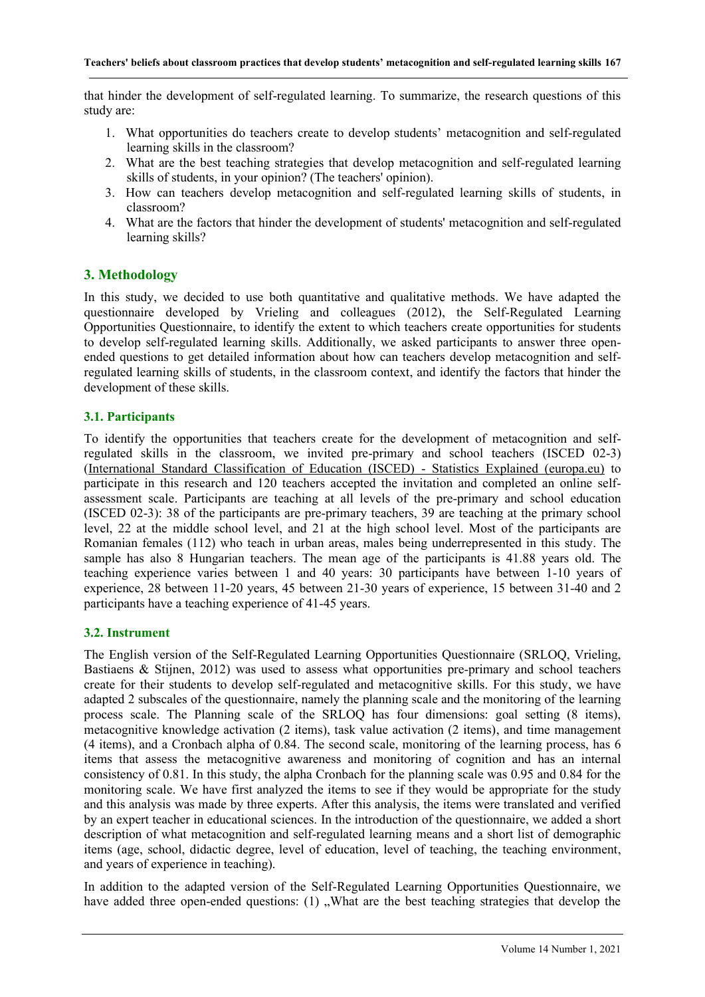that hinder the development of self-regulated learning. To summarize, the research questions of this study are:

- 1. What opportunities do teachers create to develop students' metacognition and self-regulated learning skills in the classroom?
- 2. What are the best teaching strategies that develop metacognition and self-regulated learning skills of students, in your opinion? (The teachers' opinion).
- 3. How can teachers develop metacognition and self-regulated learning skills of students, in classroom?
- 4. What are the factors that hinder the development of students' metacognition and self-regulated learning skills?

# **3. Methodology**

In this study, we decided to use both quantitative and qualitative methods. We have adapted the questionnaire developed by Vrieling and colleagues (2012), the Self-Regulated Learning Opportunities Questionnaire, to identify the extent to which teachers create opportunities for students to develop self-regulated learning skills. Additionally, we asked participants to answer three openended questions to get detailed information about how can teachers develop metacognition and selfregulated learning skills of students, in the classroom context, and identify the factors that hinder the development of these skills.

## **3.1. Participants**

To identify the opportunities that teachers create for the development of metacognition and selfregulated skills in the classroom, we invited pre-primary and school teachers (ISCED 02-3) [\(International Standard Classification of Education \(ISCED\) -](https://ec.europa.eu/eurostat/statistics-explained/index.php/International_Standard_Classification_of_Education_(ISCED)) Statistics Explained (europa.eu) to participate in this research and 120 teachers accepted the invitation and completed an online selfassessment scale. Participants are teaching at all levels of the pre-primary and school education (ISCED 02-3): 38 of the participants are pre-primary teachers, 39 are teaching at the primary school level, 22 at the middle school level, and 21 at the high school level. Most of the participants are Romanian females (112) who teach in urban areas, males being underrepresented in this study. The sample has also 8 Hungarian teachers. The mean age of the participants is 41.88 years old. The teaching experience varies between 1 and 40 years: 30 participants have between 1-10 years of experience, 28 between 11-20 years, 45 between 21-30 years of experience, 15 between 31-40 and 2 participants have a teaching experience of 41-45 years.

## **3.2. Instrument**

The English version of the Self-Regulated Learning Opportunities Questionnaire (SRLOQ, Vrieling, Bastiaens & Stijnen, 2012) was used to assess what opportunities pre-primary and school teachers create for their students to develop self-regulated and metacognitive skills. For this study, we have adapted 2 subscales of the questionnaire, namely the planning scale and the monitoring of the learning process scale. The Planning scale of the SRLOQ has four dimensions: goal setting (8 items), metacognitive knowledge activation (2 items), task value activation (2 items), and time management (4 items), and a Cronbach alpha of 0.84. The second scale, monitoring of the learning process, has 6 items that assess the metacognitive awareness and monitoring of cognition and has an internal consistency of 0.81. In this study, the alpha Cronbach for the planning scale was 0.95 and 0.84 for the monitoring scale. We have first analyzed the items to see if they would be appropriate for the study and this analysis was made by three experts. After this analysis, the items were translated and verified by an expert teacher in educational sciences. In the introduction of the questionnaire, we added a short description of what metacognition and self-regulated learning means and a short list of demographic items (age, school, didactic degree, level of education, level of teaching, the teaching environment, and years of experience in teaching).

In addition to the adapted version of the Self-Regulated Learning Opportunities Questionnaire, we have added three open-ended questions:  $(1)$  . What are the best teaching strategies that develop the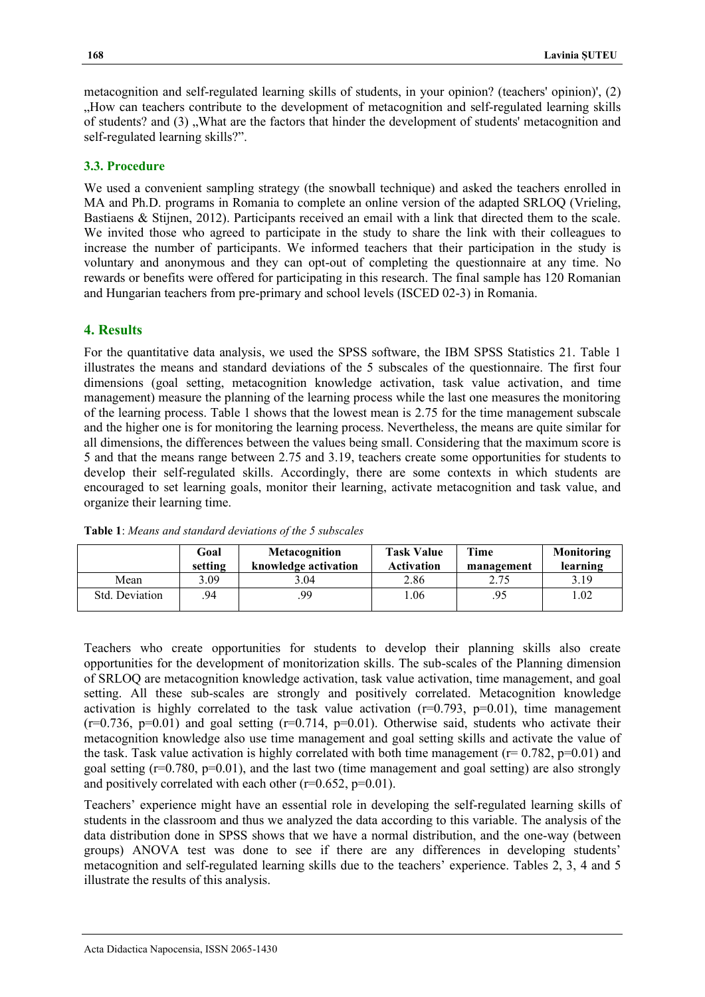metacognition and self-regulated learning skills of students, in your opinion? (teachers' opinion)', (2) "How can teachers contribute to the development of metacognition and self-regulated learning skills of students? and (3), What are the factors that hinder the development of students' metacognition and self-regulated learning skills?".

## **3.3. Procedure**

We used a convenient sampling strategy (the snowball technique) and asked the teachers enrolled in MA and Ph.D. programs in Romania to complete an online version of the adapted SRLOQ (Vrieling, Bastiaens & Stijnen, 2012). Participants received an email with a link that directed them to the scale. We invited those who agreed to participate in the study to share the link with their colleagues to increase the number of participants. We informed teachers that their participation in the study is voluntary and anonymous and they can opt-out of completing the questionnaire at any time. No rewards or benefits were offered for participating in this research. The final sample has 120 Romanian and Hungarian teachers from pre-primary and school levels (ISCED 02-3) in Romania.

# **4. Results**

For the quantitative data analysis, we used the SPSS software, the IBM SPSS Statistics 21. Table 1 illustrates the means and standard deviations of the 5 subscales of the questionnaire. The first four dimensions (goal setting, metacognition knowledge activation, task value activation, and time management) measure the planning of the learning process while the last one measures the monitoring of the learning process. Table 1 shows that the lowest mean is 2.75 for the time management subscale and the higher one is for monitoring the learning process. Nevertheless, the means are quite similar for all dimensions, the differences between the values being small. Considering that the maximum score is 5 and that the means range between 2.75 and 3.19, teachers create some opportunities for students to develop their self-regulated skills. Accordingly, there are some contexts in which students are encouraged to set learning goals, monitor their learning, activate metacognition and task value, and organize their learning time.

|                | Goal<br>setting | Metacognition<br>knowledge activation | <b>Task Value</b><br><b>Activation</b> | Time<br>management | Monitoring<br>learning |
|----------------|-----------------|---------------------------------------|----------------------------------------|--------------------|------------------------|
| Mean           | 3.09            | 3.04                                  | 2.86                                   | 2.75               | 3.19                   |
| Std. Deviation | 94              | .99                                   | .06                                    | .95                | 1.02                   |

**Table 1**: *Means and standard deviations of the 5 subscales*

Teachers who create opportunities for students to develop their planning skills also create opportunities for the development of monitorization skills. The sub-scales of the Planning dimension of SRLOQ are metacognition knowledge activation, task value activation, time management, and goal setting. All these sub-scales are strongly and positively correlated. Metacognition knowledge activation is highly correlated to the task value activation  $(r=0.793, p=0.01)$ , time management  $(r=0.736, p=0.01)$  and goal setting  $(r=0.714, p=0.01)$ . Otherwise said, students who activate their metacognition knowledge also use time management and goal setting skills and activate the value of the task. Task value activation is highly correlated with both time management ( $r= 0.782$ ,  $p=0.01$ ) and goal setting  $(r=0.780, p=0.01)$ , and the last two (time management and goal setting) are also strongly and positively correlated with each other  $(r=0.652, p=0.01)$ .

Teachers' experience might have an essential role in developing the self-regulated learning skills of students in the classroom and thus we analyzed the data according to this variable. The analysis of the data distribution done in SPSS shows that we have a normal distribution, and the one-way (between groups) ANOVA test was done to see if there are any differences in developing students' metacognition and self-regulated learning skills due to the teachers' experience. Tables 2, 3, 4 and 5 illustrate the results of this analysis.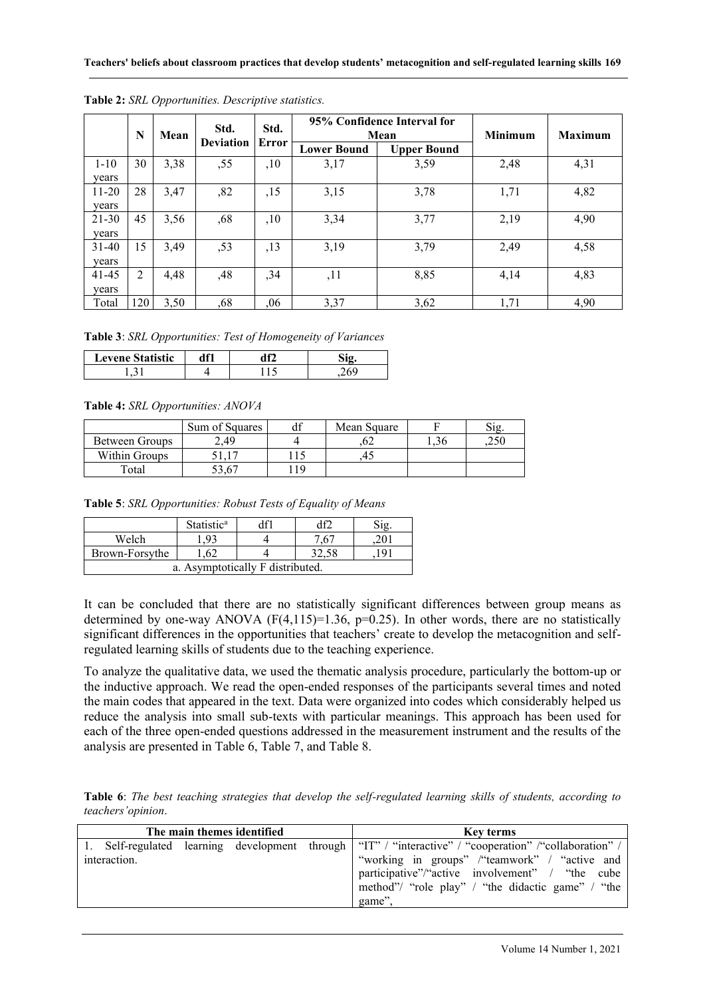|           | N              | Mean | Std.<br><b>Deviation</b> | Std.<br>Error | 95% Confidence Interval for<br>Mean |                    | <b>Minimum</b> | <b>Maximum</b> |
|-----------|----------------|------|--------------------------|---------------|-------------------------------------|--------------------|----------------|----------------|
|           |                |      |                          |               | <b>Lower Bound</b>                  | <b>Upper Bound</b> |                |                |
| $1 - 10$  | 30             | 3,38 | ,55                      | ,10           | 3,17                                | 3,59               | 2,48           | 4,31           |
| years     |                |      |                          |               |                                     |                    |                |                |
| $11 - 20$ | 28             | 3,47 | ,82                      | ,15           | 3,15                                | 3,78               | 1,71           | 4,82           |
| years     |                |      |                          |               |                                     |                    |                |                |
| $21 - 30$ | 45             | 3,56 | ,68                      | ,10           | 3,34                                | 3,77               | 2,19           | 4,90           |
| years     |                |      |                          |               |                                     |                    |                |                |
| $31 - 40$ | 15             | 3.49 | ,53                      | ,13           | 3,19                                | 3,79               | 2,49           | 4,58           |
| years     |                |      |                          |               |                                     |                    |                |                |
| 41-45     | $\overline{2}$ | 4,48 | ,48                      | ,34           | ,11                                 | 8,85               | 4,14           | 4,83           |
| vears     |                |      |                          |               |                                     |                    |                |                |
| Total     | 120            | 3,50 | ,68                      | ,06           | 3,37                                | 3,62               | 1,71           | 4,90           |

**Table 2:** *SRL Opportunities. Descriptive statistics.*

**Table 3**: *SRL Opportunities: Test of Homogeneity of Variances*

| <b>Levene Statistic</b> | <b>100</b> | ነ ሰዓ |  |
|-------------------------|------------|------|--|
| --                      |            |      |  |

#### **Table 4:** *SRL Opportunities: ANOVA*

|                | Sum of Squares | df   | Mean Square |     |     |
|----------------|----------------|------|-------------|-----|-----|
| Between Groups | 2.49           |      | ΩZ          | .36 | 250 |
| Within Groups  |                |      |             |     |     |
| Total          | 53.67          | . 19 |             |     |     |

**Table 5**: *SRL Opportunities: Robust Tests of Equality of Means*

|                                   | <b>Statistic<sup>a</sup></b> |  | df           |  |  |
|-----------------------------------|------------------------------|--|--------------|--|--|
| Welch                             | .93                          |  | $.6^{\circ}$ |  |  |
| .62<br>Brown-Forsythe<br><b>Q</b> |                              |  |              |  |  |
| a. Asymptotically F distributed.  |                              |  |              |  |  |

It can be concluded that there are no statistically significant differences between group means as determined by one-way ANOVA  $(F(4, 115)=1.36, p=0.25)$ . In other words, there are no statistically significant differences in the opportunities that teachers' create to develop the metacognition and selfregulated learning skills of students due to the teaching experience.

To analyze the qualitative data, we used the thematic analysis procedure, particularly the bottom-up or the inductive approach. We read the open-ended responses of the participants several times and noted the main codes that appeared in the text. Data were organized into codes which considerably helped us reduce the analysis into small sub-texts with particular meanings. This approach has been used for each of the three open-ended questions addressed in the measurement instrument and the results of the analysis are presented in Table 6, Table 7, and Table 8.

**Table 6**: *The best teaching strategies that develop the self-regulated learning skills of students, according to teachers'opinion*.

| The main themes identified |              |  |  | <b>Key terms</b>                                                                                                                                                                                                                                                 |
|----------------------------|--------------|--|--|------------------------------------------------------------------------------------------------------------------------------------------------------------------------------------------------------------------------------------------------------------------|
|                            | interaction. |  |  | 1. Self-regulated learning development through "IT" / "interactive" / "cooperation" / "collaboration" /<br>"working in groups" /"teamwork" / "active and<br>participative"/"active involvement" / "the cube<br>method"/ "role play" / "the didactic game" / "the |
|                            |              |  |  | game".                                                                                                                                                                                                                                                           |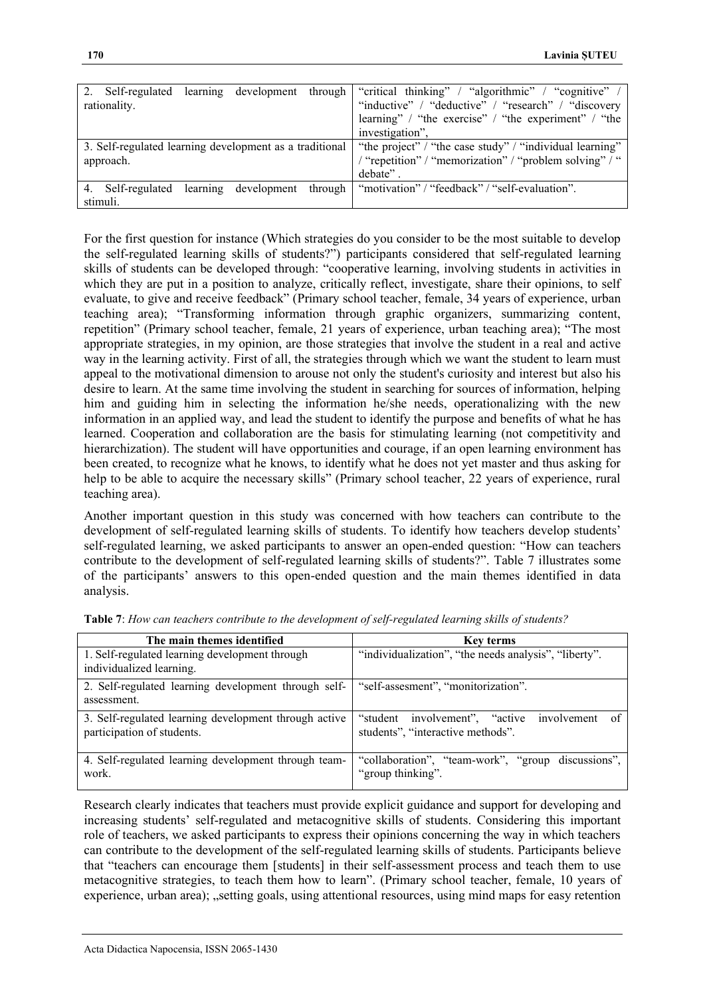| 2. Self-regulated                                       |  | learning development through | "critical thinking" / "algorithmic" / "cognitive" /      |
|---------------------------------------------------------|--|------------------------------|----------------------------------------------------------|
| rationality.                                            |  |                              | "inductive" / "deductive" / "research" / "discovery      |
|                                                         |  |                              | learning" / "the exercise" / "the experiment" / "the     |
|                                                         |  |                              | investigation".                                          |
| 3. Self-regulated learning development as a traditional |  |                              | "the project" / "the case study" / "individual learning" |
| approach.                                               |  |                              | "repetition" / "memorization" / "problem solving" / "    |
|                                                         |  |                              | debate".                                                 |
| Self-regulated<br>4                                     |  | learning development through | "motivation" / "feedback" / "self-evaluation".           |
| stimuli.                                                |  |                              |                                                          |

For the first question for instance (Which strategies do you consider to be the most suitable to develop the self-regulated learning skills of students?") participants considered that self-regulated learning skills of students can be developed through: "cooperative learning, involving students in activities in which they are put in a position to analyze, critically reflect, investigate, share their opinions, to self evaluate, to give and receive feedback" (Primary school teacher, female, 34 years of experience, urban teaching area); "Transforming information through graphic organizers, summarizing content, repetition" (Primary school teacher, female, 21 years of experience, urban teaching area); "The most appropriate strategies, in my opinion, are those strategies that involve the student in a real and active way in the learning activity. First of all, the strategies through which we want the student to learn must appeal to the motivational dimension to arouse not only the student's curiosity and interest but also his desire to learn. At the same time involving the student in searching for sources of information, helping him and guiding him in selecting the information he/she needs, operationalizing with the new information in an applied way, and lead the student to identify the purpose and benefits of what he has learned. Cooperation and collaboration are the basis for stimulating learning (not competitivity and hierarchization). The student will have opportunities and courage, if an open learning environment has been created, to recognize what he knows, to identify what he does not yet master and thus asking for help to be able to acquire the necessary skills" (Primary school teacher, 22 years of experience, rural teaching area).

Another important question in this study was concerned with how teachers can contribute to the development of self-regulated learning skills of students. To identify how teachers develop students' self-regulated learning, we asked participants to answer an open-ended question: "How can teachers contribute to the development of self-regulated learning skills of students?". Table 7 illustrates some of the participants' answers to this open-ended question and the main themes identified in data analysis.

| The main themes identified                                                          | Key terms                                                                              |
|-------------------------------------------------------------------------------------|----------------------------------------------------------------------------------------|
| 1. Self-regulated learning development through<br>individualized learning.          | "individualization", "the needs analysis", "liberty".                                  |
| 2. Self-regulated learning development through self-<br>assessment.                 | "self-assesment", "monitorization".                                                    |
| 3. Self-regulated learning development through active<br>participation of students. | "student involvement", "active"<br>involvement of<br>students", "interactive methods". |
| 4. Self-regulated learning development through team-<br>work.                       | "collaboration", "team-work", "group discussions",<br>"group thinking".                |

**Table 7**: *How can teachers contribute to the development of self-regulated learning skills of students?*

Research clearly indicates that teachers must provide explicit guidance and support for developing and increasing students' self-regulated and metacognitive skills of students. Considering this important role of teachers, we asked participants to express their opinions concerning the way in which teachers can contribute to the development of the self-regulated learning skills of students. Participants believe that "teachers can encourage them [students] in their self-assessment process and teach them to use metacognitive strategies, to teach them how to learn". (Primary school teacher, female, 10 years of experience, urban area); "setting goals, using attentional resources, using mind maps for easy retention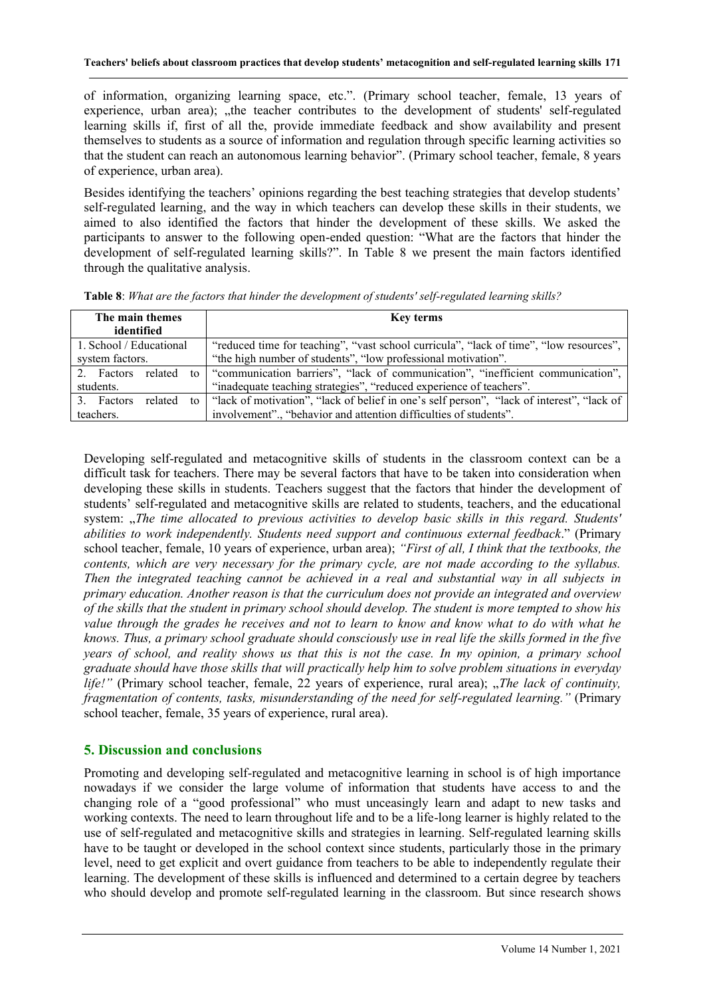of information, organizing learning space, etc.". (Primary school teacher, female, 13 years of experience, urban area); "the teacher contributes to the development of students' self-regulated learning skills if, first of all the, provide immediate feedback and show availability and present themselves to students as a source of information and regulation through specific learning activities so that the student can reach an autonomous learning behavior". (Primary school teacher, female, 8 years of experience, urban area).

Besides identifying the teachers' opinions regarding the best teaching strategies that develop students' self-regulated learning, and the way in which teachers can develop these skills in their students, we aimed to also identified the factors that hinder the development of these skills. We asked the participants to answer to the following open-ended question: "What are the factors that hinder the development of self-regulated learning skills?". In Table 8 we present the main factors identified through the qualitative analysis.

| The main themes               | <b>Key terms</b>                                                                          |
|-------------------------------|-------------------------------------------------------------------------------------------|
| identified                    |                                                                                           |
| 1. School / Educational       | "reduced time for teaching", "vast school curricula", "lack of time", "low resources",    |
| system factors.               | "the high number of students", "low professional motivation".                             |
| related<br>2. Factors         | to "communication barriers", "lack of communication", "inefficient communication",        |
| students.                     | "inadequate teaching strategies", "reduced experience of teachers".                       |
| 3. Factors<br>related<br>to 1 | "lack of motivation", "lack of belief in one's self person", "lack of interest", "lack of |
| teachers.                     | involvement"., "behavior and attention difficulties of students".                         |

**Table 8**: *What are the factors that hinder the development of students' self-regulated learning skills?*

Developing self-regulated and metacognitive skills of students in the classroom context can be a difficult task for teachers. There may be several factors that have to be taken into consideration when developing these skills in students. Teachers suggest that the factors that hinder the development of students' self-regulated and metacognitive skills are related to students, teachers, and the educational system: "*The time allocated to previous activities to develop basic skills in this regard. Students' abilities to work independently. Students need support and continuous external feedback*." (Primary school teacher, female, 10 years of experience, urban area); *"First of all, I think that the textbooks, the contents, which are very necessary for the primary cycle, are not made according to the syllabus. Then the integrated teaching cannot be achieved in a real and substantial way in all subjects in primary education. Another reason is that the curriculum does not provide an integrated and overview of the skills that the student in primary school should develop. The student is more tempted to show his value through the grades he receives and not to learn to know and know what to do with what he knows. Thus, a primary school graduate should consciously use in real life the skills formed in the five years of school, and reality shows us that this is not the case. In my opinion, a primary school graduate should have those skills that will practically help him to solve problem situations in everyday life!"* (Primary school teacher, female, 22 years of experience, rural area); "*The lack of continuity*, *fragmentation of contents, tasks, misunderstanding of the need for self-regulated learning."* (Primary school teacher, female, 35 years of experience, rural area).

# **5. Discussion and conclusions**

Promoting and developing self-regulated and metacognitive learning in school is of high importance nowadays if we consider the large volume of information that students have access to and the changing role of a "good professional" who must unceasingly learn and adapt to new tasks and working contexts. The need to learn throughout life and to be a life-long learner is highly related to the use of self-regulated and metacognitive skills and strategies in learning. Self-regulated learning skills have to be taught or developed in the school context since students, particularly those in the primary level, need to get explicit and overt guidance from teachers to be able to independently regulate their learning. The development of these skills is influenced and determined to a certain degree by teachers who should develop and promote self-regulated learning in the classroom. But since research shows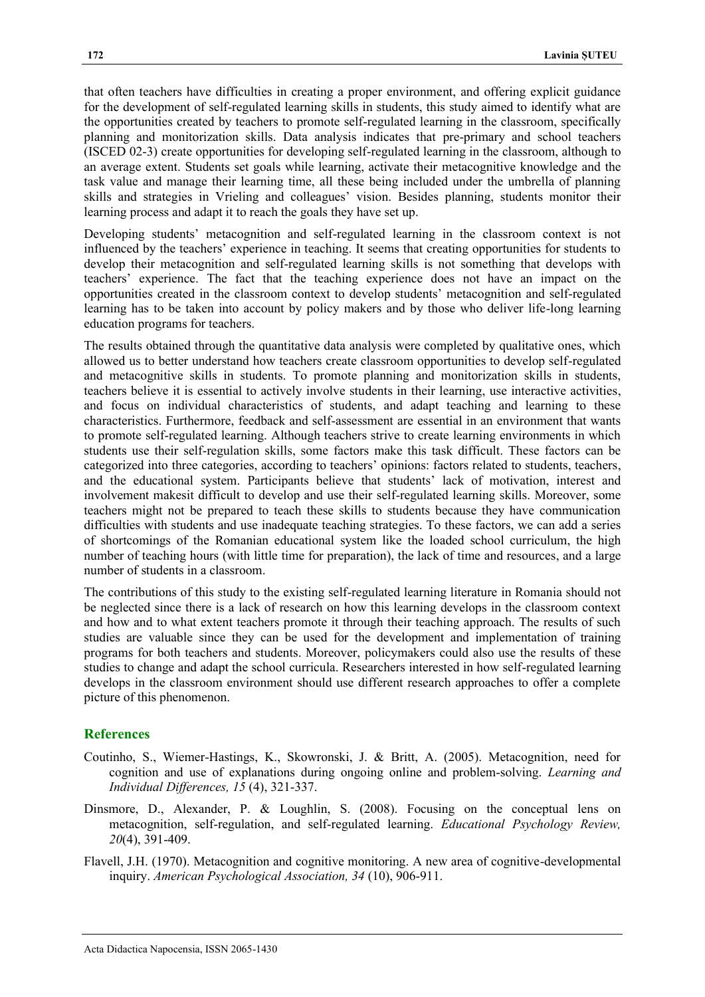that often teachers have difficulties in creating a proper environment, and offering explicit guidance for the development of self-regulated learning skills in students, this study aimed to identify what are the opportunities created by teachers to promote self-regulated learning in the classroom, specifically planning and monitorization skills. Data analysis indicates that pre-primary and school teachers (ISCED 02-3) create opportunities for developing self-regulated learning in the classroom, although to an average extent. Students set goals while learning, activate their metacognitive knowledge and the task value and manage their learning time, all these being included under the umbrella of planning skills and strategies in Vrieling and colleagues' vision. Besides planning, students monitor their learning process and adapt it to reach the goals they have set up.

Developing students' metacognition and self-regulated learning in the classroom context is not influenced by the teachers' experience in teaching. It seems that creating opportunities for students to develop their metacognition and self-regulated learning skills is not something that develops with teachers' experience. The fact that the teaching experience does not have an impact on the opportunities created in the classroom context to develop students' metacognition and self-regulated learning has to be taken into account by policy makers and by those who deliver life-long learning education programs for teachers.

The results obtained through the quantitative data analysis were completed by qualitative ones, which allowed us to better understand how teachers create classroom opportunities to develop self-regulated and metacognitive skills in students. To promote planning and monitorization skills in students, teachers believe it is essential to actively involve students in their learning, use interactive activities, and focus on individual characteristics of students, and adapt teaching and learning to these characteristics. Furthermore, feedback and self-assessment are essential in an environment that wants to promote self-regulated learning. Although teachers strive to create learning environments in which students use their self-regulation skills, some factors make this task difficult. These factors can be categorized into three categories, according to teachers' opinions: factors related to students, teachers, and the educational system. Participants believe that students' lack of motivation, interest and involvement makesit difficult to develop and use their self-regulated learning skills. Moreover, some teachers might not be prepared to teach these skills to students because they have communication difficulties with students and use inadequate teaching strategies. To these factors, we can add a series of shortcomings of the Romanian educational system like the loaded school curriculum, the high number of teaching hours (with little time for preparation), the lack of time and resources, and a large number of students in a classroom.

The contributions of this study to the existing self-regulated learning literature in Romania should not be neglected since there is a lack of research on how this learning develops in the classroom context and how and to what extent teachers promote it through their teaching approach. The results of such studies are valuable since they can be used for the development and implementation of training programs for both teachers and students. Moreover, policymakers could also use the results of these studies to change and adapt the school curricula. Researchers interested in how self-regulated learning develops in the classroom environment should use different research approaches to offer a complete picture of this phenomenon.

#### **References**

- Coutinho, S., Wiemer-Hastings, K., Skowronski, J. & Britt, A. (2005). Metacognition, need for cognition and use of explanations during ongoing online and problem-solving. *Learning and Individual Differences, 15* (4), 321-337.
- Dinsmore, D., Alexander, P. & Loughlin, S. (2008). Focusing on the conceptual lens on metacognition, self-regulation, and self-regulated learning. *Educational Psychology Review, 20*(4), 391-409.
- Flavell, J.H. (1970). Metacognition and cognitive monitoring. A new area of cognitive-developmental inquiry. *American Psychological Association, 34* (10), 906-911.